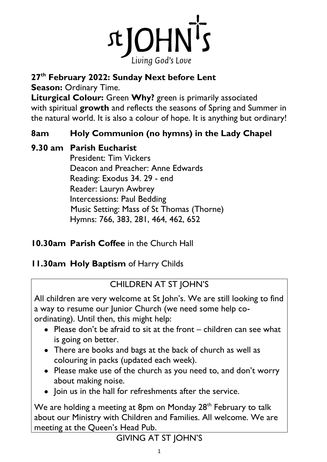

# **27 th February 2022: Sunday Next before Lent**

**Season: Ordinary Time.** 

**Liturgical Colour:** Green **Why?** green is primarily associated with spiritual **growth** and reflects the seasons of Spring and Summer in the natural world. It is also a colour of hope. It is anything but ordinary!

# **8am Holy Communion (no hymns) in the Lady Chapel**

# **9.30 am Parish Eucharist**

President: Tim Vickers Deacon and Preacher: Anne Edwards Reading: Exodus 34. 29 - end Reader: Lauryn Awbrey Intercessions: Paul Bedding Music Setting: Mass of St Thomas (Thorne) Hymns: 766, 383, 281, 464, 462, 652

# **10.30am Parish Coffee** in the Church Hall

# **11.30am Holy Baptism** of Harry Childs

# CHILDREN AT ST JOHN'S

All children are very welcome at St John's. We are still looking to find a way to resume our Junior Church (we need some help coordinating). Until then, this might help:

- Please don't be afraid to sit at the front children can see what is going on better.
- There are books and bags at the back of church as well as colouring in packs (updated each week).
- Please make use of the church as you need to, and don't worry about making noise.
- Join us in the hall for refreshments after the service.

We are holding a meeting at 8pm on Monday 28<sup>th</sup> February to talk about our Ministry with Children and Families. All welcome. We are meeting at the Queen's Head Pub.

# GIVING AT ST JOHN'S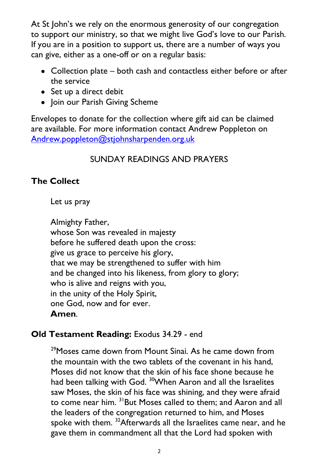At St John's we rely on the enormous generosity of our congregation to support our ministry, so that we might live God's love to our Parish. If you are in a position to support us, there are a number of ways you can give, either as a one-off or on a regular basis:

- Collection plate both cash and contactless either before or after the service
- Set up a direct debit
- Join our Parish Giving Scheme

Envelopes to donate for the collection where gift aid can be claimed are available. For more information contact Andrew Poppleton on [Andrew.poppleton@stjohnsharpenden.org.uk](mailto:Andrew.poppleton@stjohnsharpenden.org.uk)

# SUNDAY READINGS AND PRAYERS

## **The Collect**

Let us pray

Almighty Father, whose Son was revealed in majesty before he suffered death upon the cross: give us grace to perceive his glory, that we may be strengthened to suffer with him and be changed into his likeness, from glory to glory; who is alive and reigns with you, in the unity of the Holy Spirit, one God, now and for ever. **Amen**.

## **Old Testament Reading:** Exodus 34.29 - end

<sup>29</sup>Moses came down from Mount Sinai. As he came down from the mountain with the two tablets of the covenant in his hand, Moses did not know that the skin of his face shone because he had been talking with God. <sup>30</sup>When Aaron and all the Israelites saw Moses, the skin of his face was shining, and they were afraid to come near him. <sup>31</sup>But Moses called to them; and Aaron and all the leaders of the congregation returned to him, and Moses spoke with them. <sup>32</sup>Afterwards all the Israelites came near, and he gave them in commandment all that the Lord had spoken with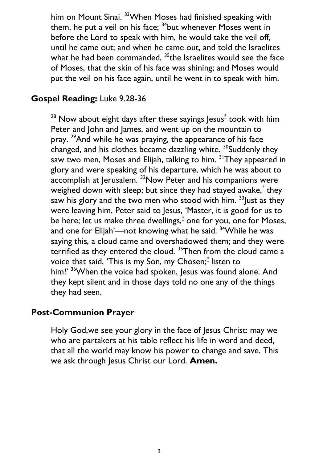him on Mount Sinai. <sup>33</sup> When Moses had finished speaking with them, he put a veil on his face;  $34$ but whenever Moses went in before the Lord to speak with him, he would take the veil off, until he came out; and when he came out, and told the Israelites what he had been commanded,  $35$  the Israelites would see the face of Moses, that the skin of his face was shining; and Moses would put the veil on his face again, until he went in to speak with him.

#### **Gospel Reading:** Luke 9.28-36

 $^{28}$  Now about eight days after these sayings Jesus $\degree$  took with him Peter and John and James, and went up on the mountain to pray. <sup>29</sup>And while he was praying, the appearance of his face changed, and his clothes became dazzling white. <sup>30</sup>Suddenly they saw two men, Moses and Elijah, talking to him. <sup>31</sup>They appeared in glory and were speaking of his departure, which he was about to accomplish at Jerusalem. <sup>32</sup>Now Peter and his companions were weighed down with sleep; but since they had stayed awake,<sup>[\\*](javascript:void(0);)</sup> they saw his glory and the two men who stood with him.  $33$  lust as they were leaving him, Peter said to Jesus, 'Master, it is good for us to be here; let us make three dwellings,<sup>[\\*](javascript:void(0);)</sup> one for you, one for Moses, and one for Elijah'—not knowing what he said. <sup>34</sup> While he was saying this, a cloud came and overshadowed them; and they were terrified as they entered the cloud.<sup>35</sup>Then from the cloud came a voice that said, 'This is my Son, my Chosen; $\mathring{\,}$  listen to him!' <sup>36</sup>When the voice had spoken, Jesus was found alone. And they kept silent and in those days told no one any of the things they had seen.

#### **Post-Communion Prayer**

Holy God,we see your glory in the face of Jesus Christ: may we who are partakers at his table reflect his life in word and deed, that all the world may know his power to change and save. This we ask through Jesus Christ our Lord. **Amen.**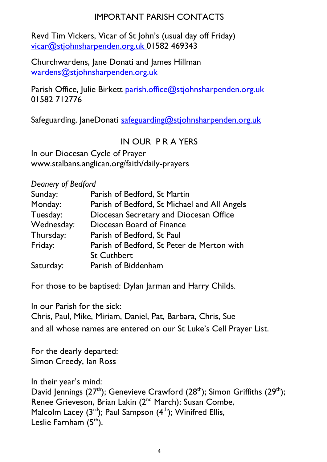## IMPORTANT PARISH CONTACTS

Revd Tim Vickers, Vicar of St John's (usual day off Friday) [vicar@stjohnsharpenden.org.uk](mailto:vicar@stjohnsharpenden.org.uk) 01582 469343

Churchwardens, Jane Donati and James Hillman [wardens@stjohnsharpenden.org.uk](mailto:wardens@stjohnsharpenden.org.uk)

Parish Office, Julie Birkett [parish.office@stjohnsharpenden.org.](mailto:parish.office@stjohnsharpenden.org)uk 01582 712776

Safeguarding, JaneDonati [safeguarding@stjohnsharpenden.org.uk](mailto:safeguarding@stjohnsharpenden.org.uk)

## IN OUR P R A YERS

In our Diocesan Cycle of Prayer www.stalbans.anglican.org/faith/daily-prayers

*Deanery of Bedford*

| Sunday:    | Parish of Bedford, St Martin                 |  |  |
|------------|----------------------------------------------|--|--|
| Monday:    | Parish of Bedford, St Michael and All Angels |  |  |
| Tuesday:   | Diocesan Secretary and Diocesan Office       |  |  |
| Wednesday: | Diocesan Board of Finance                    |  |  |
| Thursday:  | Parish of Bedford, St Paul                   |  |  |
| Friday:    | Parish of Bedford, St Peter de Merton with   |  |  |
|            | <b>St Cuthbert</b>                           |  |  |
| Saturday:  | Parish of Biddenham                          |  |  |

For those to be baptised: Dylan Jarman and Harry Childs.

In our Parish for the sick: Chris, Paul, Mike, Miriam, Daniel, Pat, Barbara, Chris, Sue and all whose names are entered on our St Luke's Cell Prayer List.

For the dearly departed: Simon Creedy, Ian Ross

In their year's mind: David Jennings ( $27<sup>th</sup>$ ); Genevieve Crawford ( $28<sup>th</sup>$ ); Simon Griffiths ( $29<sup>th</sup>$ ); Renee Grieveson, Brian Lakin (2<sup>nd</sup> March); Susan Combe, Malcolm Lacey  $(3<sup>rd</sup>)$ ; Paul Sampson  $(4<sup>th</sup>)$ ; Winifred Ellis, Leslie Farnham  $(5<sup>th</sup>)$ .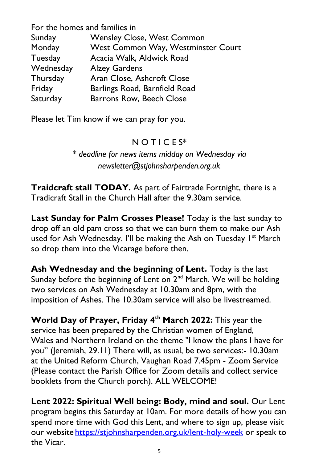| For the homes and families in |                                    |  |  |
|-------------------------------|------------------------------------|--|--|
| Sunday                        | <b>Wensley Close, West Common</b>  |  |  |
| Monday                        | West Common Way, Westminster Court |  |  |
| Tuesday                       | Acacia Walk, Aldwick Road          |  |  |
| Wednesday                     | <b>Alzey Gardens</b>               |  |  |
| Thursday                      | Aran Close, Ashcroft Close         |  |  |
| Friday                        | Barlings Road, Barnfield Road      |  |  |
| Saturday                      | <b>Barrons Row, Beech Close</b>    |  |  |

Please let Tim know if we can pray for you.

## $N$  O T I C E S<sup>\*</sup>

*\* deadline for news items midday on Wednesday via newsletter@stjohnsharpenden.org.uk*

**Traidcraft stall TODAY.** As part of Fairtrade Fortnight, there is a Tradicraft Stall in the Church Hall after the 9.30am service.

**Last Sunday for Palm Crosses Please!** Today is the last sunday to drop off an old pam cross so that we can burn them to make our Ash used for Ash Wednesday. I'll be making the Ash on Tuesday I<sup>st</sup> March so drop them into the Vicarage before then.

Ash Wednesday and the beginning of Lent. Today is the last Sunday before the beginning of Lent on  $2<sup>nd</sup>$  March. We will be holding two services on Ash Wednesday at 10.30am and 8pm, with the imposition of Ashes. The 10.30am service will also be livestreamed.

**World Day of Prayer, Friday 4th March 2022:** This year the service has been prepared by the Christian women of England, Wales and Northern Ireland on the theme "I know the plans I have for you" (Jeremiah, 29.11) There will, as usual, be two services:- 10.30am at the United Reform Church, Vaughan Road 7.45pm - Zoom Service (Please contact the Parish Office for Zoom details and collect service booklets from the Church porch). ALL WELCOME!

**Lent 2022: Spiritual Well being: Body, mind and soul.** Our Lent program begins this Saturday at 10am. For more details of how you can spend more time with God this Lent, and where to sign up, please visit our website <https://stjohnsharpenden.org.uk/lent-holy-week> or speak to the Vicar.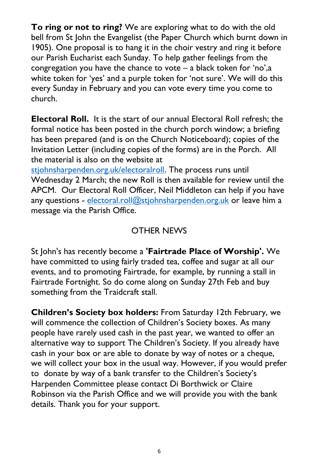**To ring or not to ring?** We are exploring what to do with the old bell from St John the Evangelist (the Paper Church which burnt down in 1905). One proposal is to hang it in the choir vestry and ring it before our Parish Eucharist each Sunday. To help gather feelings from the congregation you have the chance to vote – a black token for 'no',a white token for 'yes' and a purple token for 'not sure'. We will do this every Sunday in February and you can vote every time you come to church.

**Electoral Roll.** It is the start of our annual Electoral Roll refresh; the formal notice has been posted in the church porch window; a briefing has been prepared (and is on the Church Noticeboard); copies of the Invitation Letter (including copies of the forms) are in the Porch. All the material is also on the website at

[stjohnsharpenden.org.uk/electoralroll.](https://stjohnsharpenden.org.uk/electoralroll) The process runs until Wednesday 2 March; the new Roll is then available for review until the APCM. Our Electoral Roll Officer, Neil Middleton can help if you have any questions - electoral.roll@stiohnsharpenden.org.uk or leave him a message via the Parish Office.

### OTHER NEWS

St John's has recently become a **'Fairtrade Place of Worship'.** We have committed to using fairly traded tea, coffee and sugar at all our events, and to promoting Fairtrade, for example, by running a stall in Fairtrade Fortnight. So do come along on Sunday 27th Feb and buy something from the Traidcraft stall.

**Children's Society box holders:** From Saturday 12th February, we will commence the collection of Children's Society boxes. As many people have rarely used cash in the past year, we wanted to offer an alternative way to support The Children's Society. If you already have cash in your box or are able to donate by way of notes or a cheque, we will collect your box in the usual way. However, if you would prefer to donate by way of a bank transfer to the Children's Society's Harpenden Committee please contact Di Borthwick or Claire Robinson via the Parish Office and we will provide you with the bank details. Thank you for your support.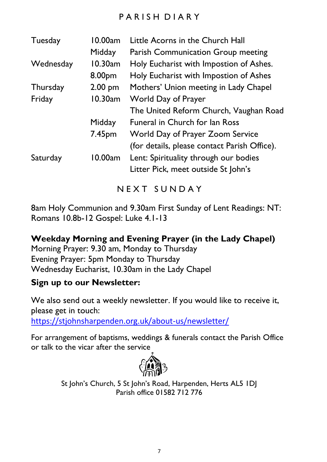## PARISH DIARY

| Tuesday   | 10.00am<br>Midday | Little Acorns in the Church Hall<br>Parish Communication Group meeting       |
|-----------|-------------------|------------------------------------------------------------------------------|
| Wednesday | 10.30am           | Holy Eucharist with Impostion of Ashes.                                      |
|           | 8.00pm            | Holy Eucharist with Impostion of Ashes                                       |
| Thursday  | $2.00$ pm         | Mothers' Union meeting in Lady Chapel                                        |
| Friday    | 10.30am           | World Day of Prayer                                                          |
|           |                   | The United Reform Church, Vaughan Road                                       |
|           | Midday            | <b>Funeral in Church for lan Ross</b>                                        |
|           | 7.45pm            | World Day of Prayer Zoom Service                                             |
|           |                   | (for details, please contact Parish Office).                                 |
| Saturday  | 10.00am           | Lent: Spirituality through our bodies<br>Litter Pick, meet outside St John's |
|           |                   |                                                                              |

# N E X T S U N D A Y

8am Holy Communion and 9.30am First Sunday of Lent Readings: NT: Romans 10.8b-12 Gospel: Luke 4.1-13

**Weekday Morning and Evening Prayer (in the Lady Chapel)** Morning Prayer: 9.30 am, Monday to Thursday Evening Prayer: 5pm Monday to Thursday Wednesday Eucharist, 10.30am in the Lady Chapel

#### **Sign up to our Newsletter:**

We also send out a weekly newsletter. If you would like to receive it, please get in touch:

<https://stjohnsharpenden.org.uk/about-us/newsletter/>

For arrangement of baptisms, weddings & funerals contact the Parish Office or talk to the vicar after the service



St John's Church, 5 St John's Road, Harpenden, Herts AL5 1DJ Parish office 01582 712 776